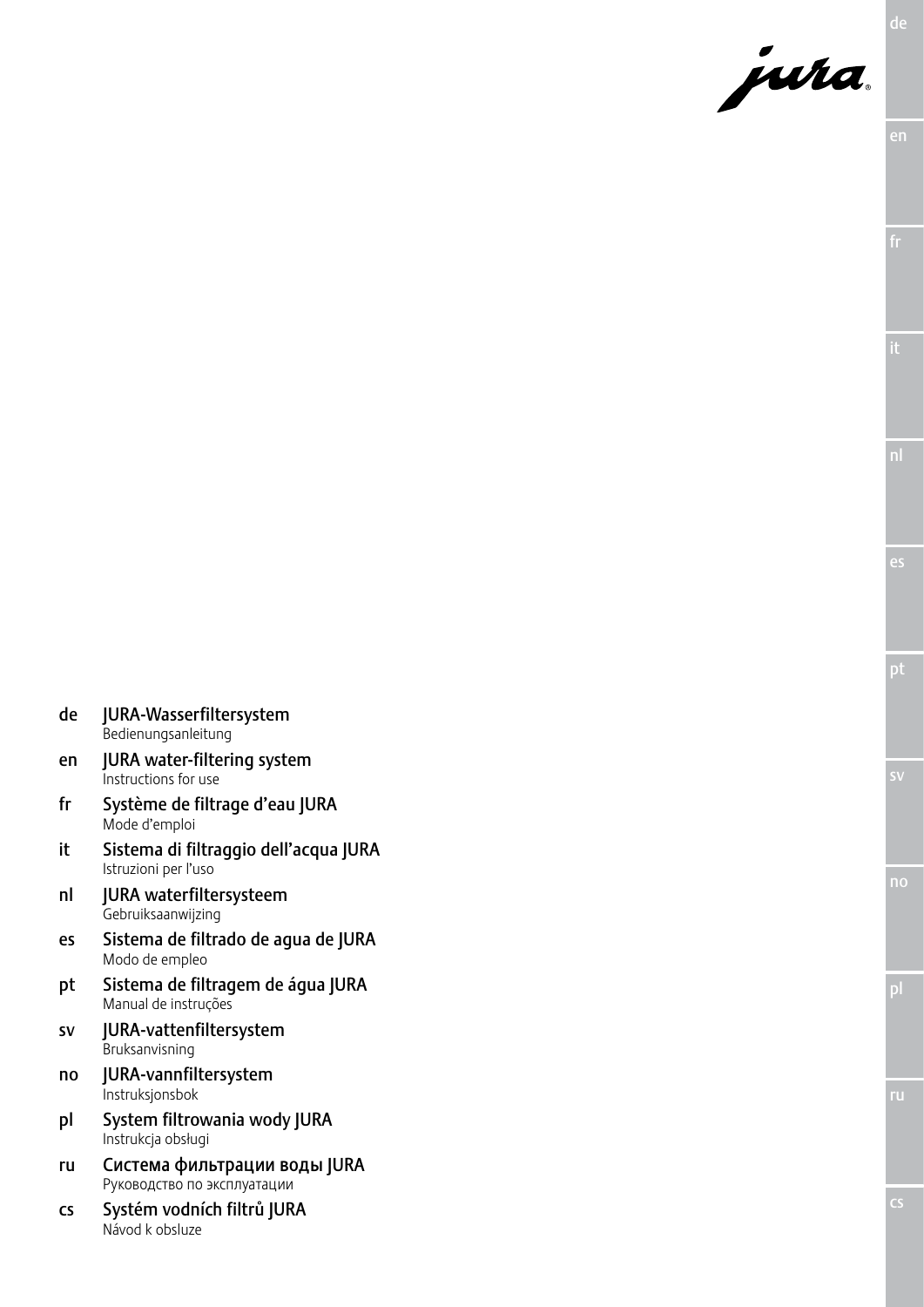

- de JURA-Wasserfiltersystem Bedienungsanleitung
- en JURA water-filtering system Instructions for use
- fr Système de filtrage d'eau JURA Mode d'emploi
- it Sistema di filtraggio dell'acqua JURA Istruzioni per l'uso
- nl JURA waterfiltersysteem Gebruiksaanwijzing
- es Sistema de filtrado de agua de JURA Modo de empleo
- pt Sistema de filtragem de água JURA Manual de instruções
- sv JURA-vattenfiltersystem **Bruksanvisning**
- no JURA-vannfiltersystem Instruksjonsbok
- pl System filtrowania wody JURA Instrukcja obsługi
- ru Система фильтрации воды JURA Руководство по эксплуатации
- cs Systém vodních filtrů JURA Návod k obsluze

cs

ru

es

pt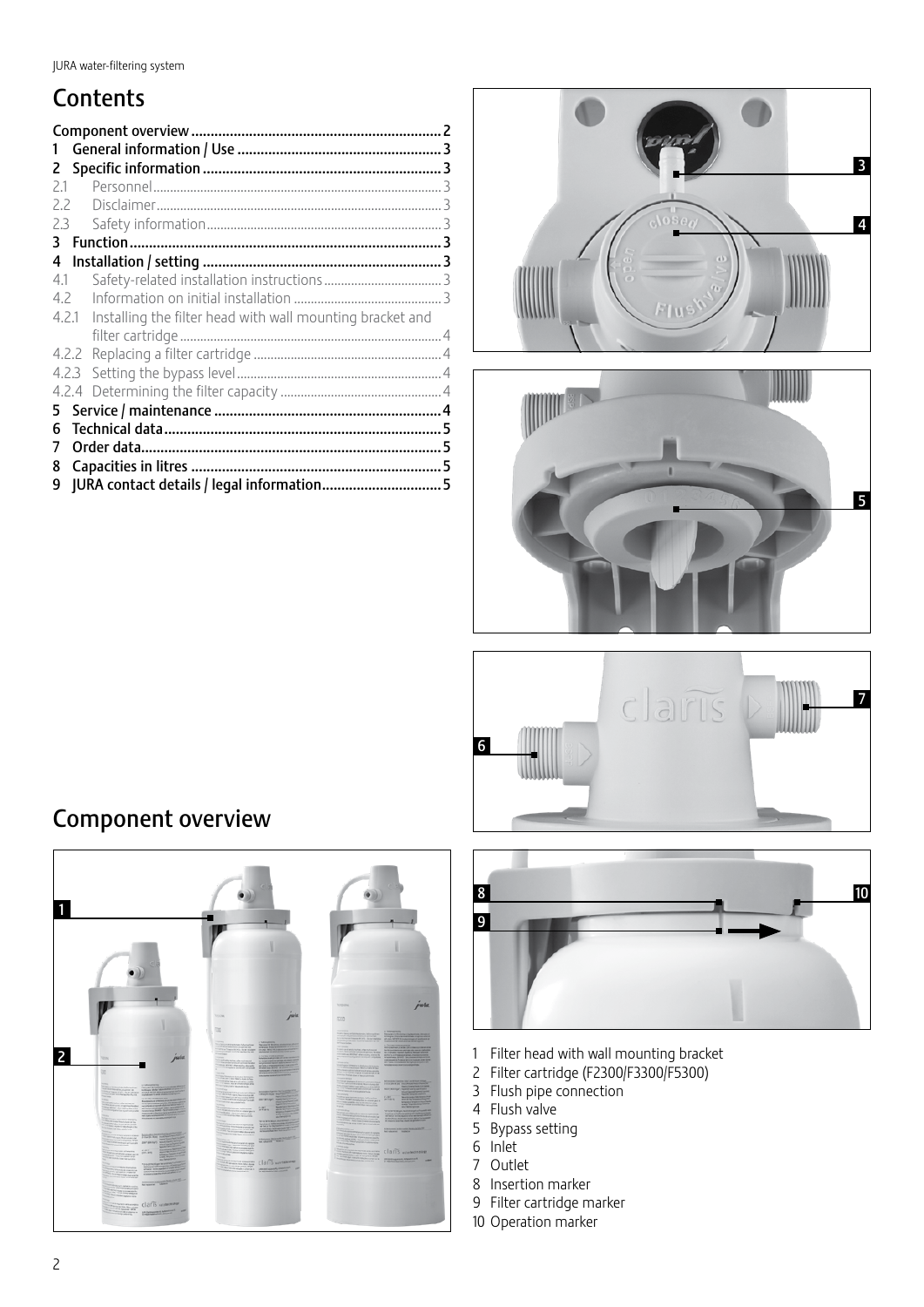# **Contents**

| 1     |       |                                                           |  |
|-------|-------|-----------------------------------------------------------|--|
| 2     |       |                                                           |  |
| 21    |       |                                                           |  |
| 22    |       |                                                           |  |
| 2.3   |       |                                                           |  |
| 3.    |       |                                                           |  |
| 4     |       |                                                           |  |
| 4.1   |       |                                                           |  |
| 4.2   |       |                                                           |  |
| 4.2.1 |       | Installing the filter head with wall mounting bracket and |  |
|       |       |                                                           |  |
|       |       |                                                           |  |
|       | 4.2.3 |                                                           |  |
|       |       |                                                           |  |
| 5.    |       |                                                           |  |
| 6     |       |                                                           |  |
| 7     |       |                                                           |  |
| 8     |       |                                                           |  |
| 9     |       |                                                           |  |







# Component overview





- Filter head with wall mounting bracket
- Filter cartridge (F2300/F3300/F5300)
- Flush pipe connection
- Flush valve
- Bypass setting
- Inlet
- Outlet
- Insertion marker
- Filter cartridge marker
- Operation marker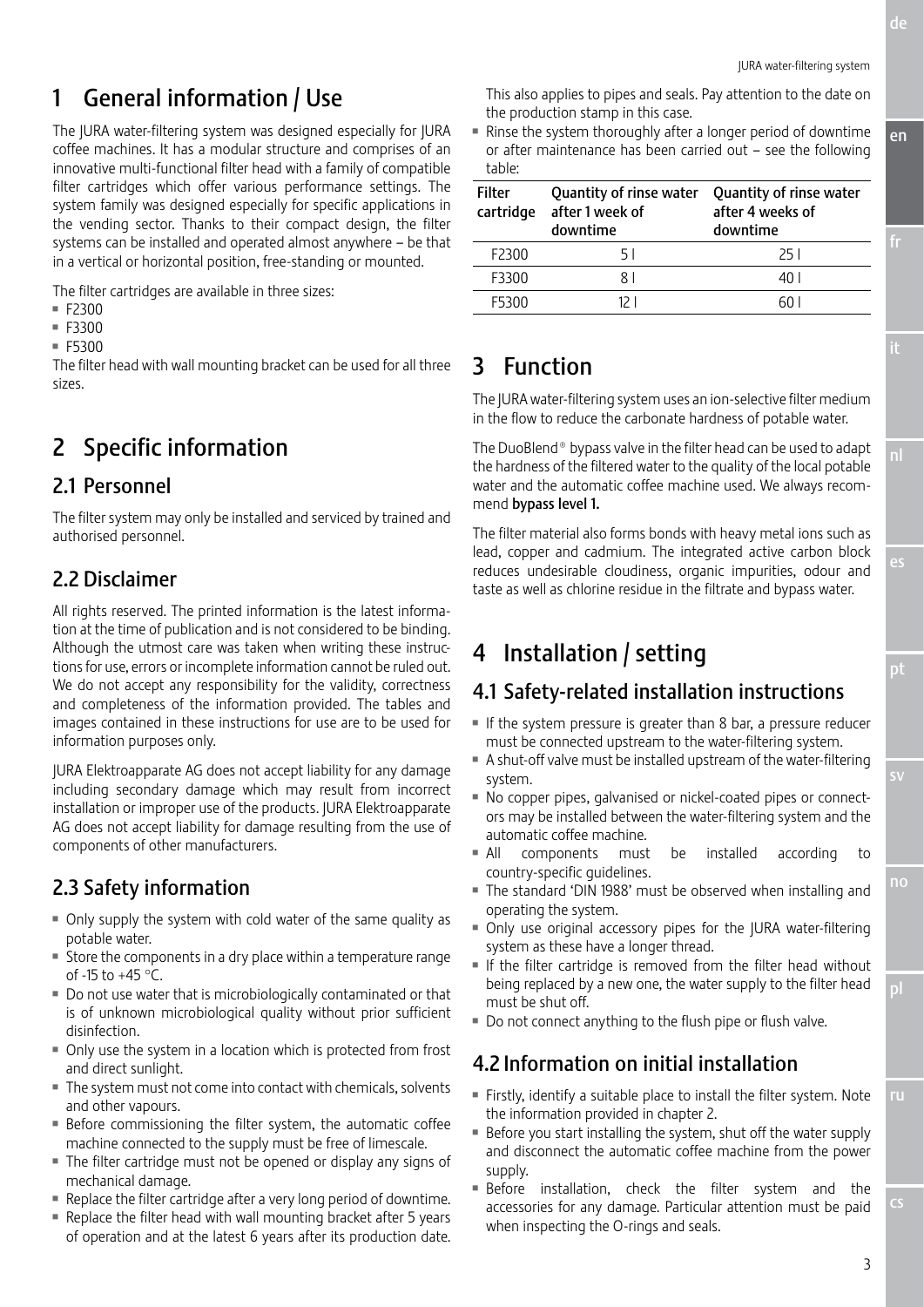en

nl

es

pt

no

pl

ru

# 1 General information / Use

The JURA water-filtering system was designed especially for JURA coffee machines. It has a modular structure and comprises of an innovative multi-functional filter head with a family of compatible filter cartridges which offer various performance settings. The system family was designed especially for specific applications in the vending sector. Thanks to their compact design, the filter systems can be installed and operated almost anywhere – be that in a vertical or horizontal position, free-standing or mounted.

The filter cartridges are available in three sizes:

- $F2300$
- $-F3300$
- $F5300$

The filter head with wall mounting bracket can be used for all three sizes.

# 2 Specific information

### 2.1 Personnel

The filter system may only be installed and serviced by trained and authorised personnel.

### 2.2 Disclaimer

All rights reserved. The printed information is the latest information at the time of publication and is not considered to be binding. Although the utmost care was taken when writing these instructions for use, errors or incomplete information cannot be ruled out. We do not accept any responsibility for the validity, correctness and completeness of the information provided. The tables and images contained in these instructions for use are to be used for information purposes only.

JURA Elektroapparate AG does not accept liability for any damage including secondary damage which may result from incorrect installation or improper use of the products. JURA Elektroapparate AG does not accept liability for damage resulting from the use of components of other manufacturers.

### 2.3 Safety information

- Only supply the system with cold water of the same quality as potable water.
- Store the components in a dry place within a temperature range of -15 to +45 °C.
- Do not use water that is microbiologically contaminated or that is of unknown microbiological quality without prior sufficient disinfection.
- Only use the system in a location which is protected from frost and direct sunlight.
- The system must not come into contact with chemicals, solvents and other vapours.
- **Before commissioning the filter system, the automatic coffee** machine connected to the supply must be free of limescale.
- The filter cartridge must not be opened or display any signs of mechanical damage.
- $\blacksquare$  Replace the filter cartridge after a very long period of downtime.
- Replace the filter head with wall mounting bracket after 5 years of operation and at the latest 6 years after its production date.

This also applies to pipes and seals. Pay attention to the date on the production stamp in this case.

Rinse the system thoroughly after a longer period of downtime or after maintenance has been carried out – see the following table:

| <b>Filter</b><br>cartridge | Quantity of rinse water<br>after 1 week of<br>downtime | Quantity of rinse water<br>after 4 weeks of<br>downtime |  |
|----------------------------|--------------------------------------------------------|---------------------------------------------------------|--|
| F2300                      | 51                                                     | 25 I                                                    |  |
| F3300                      | RΙ                                                     | 40 I                                                    |  |
| <b>F5300</b>               |                                                        |                                                         |  |

# 3 Function

The JURA water-filtering system uses an ion-selective filter medium in the flow to reduce the carbonate hardness of potable water.

The DuoBlend® bypass valve in the filter head can be used to adapt the hardness of the filtered water to the quality of the local potable water and the automatic coffee machine used. We always recommend bypass level 1.

The filter material also forms bonds with heavy metal ions such as lead, copper and cadmium. The integrated active carbon block reduces undesirable cloudiness, organic impurities, odour and taste as well as chlorine residue in the filtrate and bypass water.

# 4 Installation / setting

# 4.1 Safety-related installation instructions

- $\blacksquare$  If the system pressure is greater than 8 bar, a pressure reducer must be connected upstream to the water-filtering system.
- A shut-off valve must be installed upstream of the water-filtering system.
- $\blacksquare$  No copper pipes, galvanised or nickel-coated pipes or connectors may be installed between the water-filtering system and the automatic coffee machine.
- All components must be installed according to country-specific guidelines.
- The standard 'DIN 1988' must be observed when installing and operating the system.
- Only use original accessory pipes for the JURA water-filtering system as these have a longer thread.
- $\blacksquare$  If the filter cartridge is removed from the filter head without being replaced by a new one, the water supply to the filter head must be shut off.
- Do not connect anything to the flush pipe or flush valve.

### 4.2 Information on initial installation

- Firstly, identify a suitable place to install the filter system. Note the information provided in chapter 2.
- Before you start installing the system, shut off the water supply and disconnect the automatic coffee machine from the power supply.
- **Before** installation, check the filter system and the accessories for any damage. Particular attention must be paid when inspecting the O-rings and seals.

cs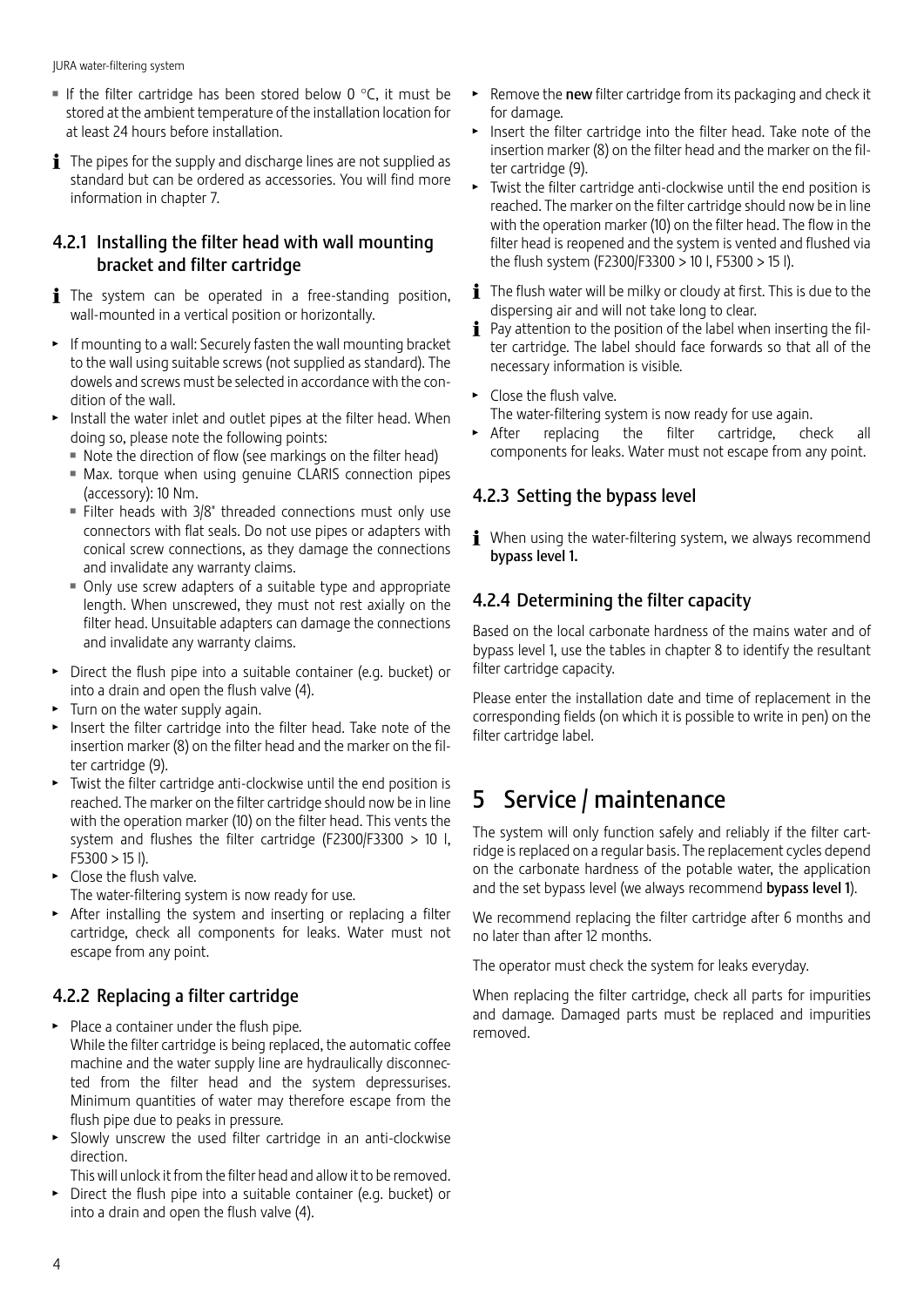JURA water-filtering system

- If the filter cartridge has been stored below 0  $\degree$ C, it must be stored at the ambient temperature of the installation location for at least 24 hours before installation.
- $\mathbf{\hat{i}}$  The pipes for the supply and discharge lines are not supplied as standard but can be ordered as accessories. You will find more information in chapter 7.

#### 4.2.1 Installing the filter head with wall mounting bracket and filter cartridge

- The system can be operated in a free-standing position, wall-mounted in a vertical position or horizontally.
- $\triangleright$  If mounting to a wall: Securely fasten the wall mounting bracket to the wall using suitable screws (not supplied as standard). The dowels and screws must be selected in accordance with the condition of the wall.
- Install the water inlet and outlet pipes at the filter head. When doing so, please note the following points:
	- Note the direction of flow (see markings on the filter head)
	- $Max$ . torque when using genuine CLARIS connection pipes (accessory): 10 Nm.
	- Filter heads with  $3/8$ " threaded connections must only use connectors with flat seals. Do not use pipes or adapters with conical screw connections, as they damage the connections and invalidate any warranty claims.
	- Only use screw adapters of a suitable type and appropriate length. When unscrewed, they must not rest axially on the filter head. Unsuitable adapters can damage the connections and invalidate any warranty claims.
- $\triangleright$  Direct the flush pipe into a suitable container (e.g. bucket) or into a drain and open the flush valve (4).
- $\blacktriangleright$  Turn on the water supply again.
- $\blacktriangleright$  Insert the filter cartridge into the filter head. Take note of the insertion marker (8) on the filter head and the marker on the filter cartridge (9).
- $\blacktriangleright$  Twist the filter cartridge anti-clockwise until the end position is reached. The marker on the filter cartridge should now be in line with the operation marker (10) on the filter head. This vents the system and flushes the filter cartridge (F2300/F3300 > 10 l,  $F5300 > 15$  l).
- $\triangleright$  Close the flush valve.
- The water-filtering system is now ready for use.
- $\triangleright$  After installing the system and inserting or replacing a filter cartridge, check all components for leaks. Water must not escape from any point.

#### 4.2.2 Replacing a filter cartridge

- $\blacktriangleright$  Place a container under the flush pipe. While the filter cartridge is being replaced, the automatic coffee machine and the water supply line are hydraulically disconnected from the filter head and the system depressurises. Minimum quantities of water may therefore escape from the flush pipe due to peaks in pressure.
- $\triangleright$  Slowly unscrew the used filter cartridge in an anti-clockwise direction.
- This will unlock it from the filter head and allow it to be removed.
- $\triangleright$  Direct the flush pipe into a suitable container (e.g. bucket) or into a drain and open the flush valve (4).
- $\triangleright$  Remove the new filter cartridge from its packaging and check it for damage.
- $\blacktriangleright$  Insert the filter cartridge into the filter head. Take note of the insertion marker (8) on the filter head and the marker on the filter cartridge (9).
- $\blacktriangleright$  Twist the filter cartridge anti-clockwise until the end position is reached. The marker on the filter cartridge should now be in line with the operation marker (10) on the filter head. The flow in the filter head is reopened and the system is vented and flushed via the flush system (F2300/F3300 > 10 l, F5300 > 15 l).
- $\mathbf{i}$  The flush water will be milky or cloudy at first. This is due to the dispersing air and will not take long to clear.
- $\mathbf{i}$  Pay attention to the position of the label when inserting the filter cartridge. The label should face forwards so that all of the necessary information is visible.
- $\blacktriangleright$  Close the flush valve.

The water-filtering system is now ready for use again.

After replacing the filter cartridge, check all components for leaks. Water must not escape from any point.

### 4.2.3 Setting the bypass level

 $\mathbf i$  When using the water-filtering system, we always recommend bypass level 1.

#### 4.2.4 Determining the filter capacity

Based on the local carbonate hardness of the mains water and of bypass level 1, use the tables in chapter 8 to identify the resultant filter cartridge capacity.

Please enter the installation date and time of replacement in the corresponding fields (on which it is possible to write in pen) on the filter cartridge label.

# 5 Service / maintenance

The system will only function safely and reliably if the filter cartridge is replaced on a regular basis. The replacement cycles depend on the carbonate hardness of the potable water, the application and the set bypass level (we always recommend bypass level 1).

We recommend replacing the filter cartridge after 6 months and no later than after 12 months.

The operator must check the system for leaks everyday.

When replacing the filter cartridge, check all parts for impurities and damage. Damaged parts must be replaced and impurities removed.